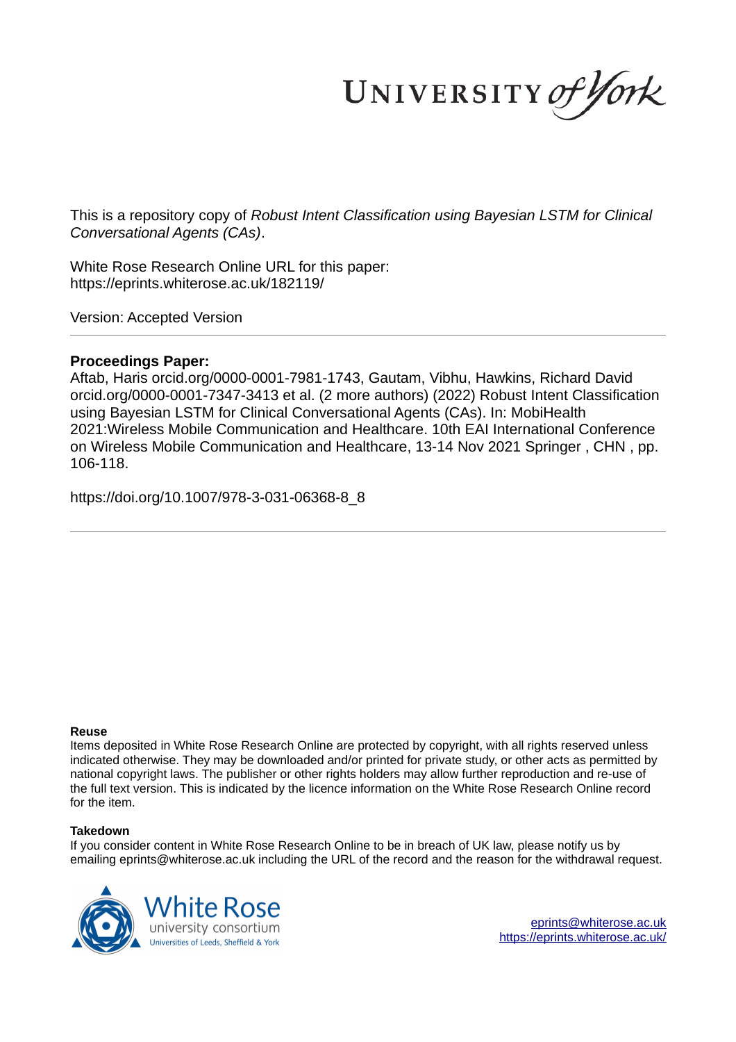UNIVERSITY of York

This is a repository copy of *Robust Intent Classification using Bayesian LSTM for Clinical Conversational Agents (CAs)*.

White Rose Research Online URL for this paper: https://eprints.whiterose.ac.uk/182119/

Version: Accepted Version

# **Proceedings Paper:**

Aftab, Haris orcid.org/0000-0001-7981-1743, Gautam, Vibhu, Hawkins, Richard David orcid.org/0000-0001-7347-3413 et al. (2 more authors) (2022) Robust Intent Classification using Bayesian LSTM for Clinical Conversational Agents (CAs). In: MobiHealth 2021:Wireless Mobile Communication and Healthcare. 10th EAI International Conference on Wireless Mobile Communication and Healthcare, 13-14 Nov 2021 Springer , CHN , pp. 106-118.

https://doi.org/10.1007/978-3-031-06368-8\_8

### **Reuse**

Items deposited in White Rose Research Online are protected by copyright, with all rights reserved unless indicated otherwise. They may be downloaded and/or printed for private study, or other acts as permitted by national copyright laws. The publisher or other rights holders may allow further reproduction and re-use of the full text version. This is indicated by the licence information on the White Rose Research Online record for the item.

### **Takedown**

If you consider content in White Rose Research Online to be in breach of UK law, please notify us by emailing eprints@whiterose.ac.uk including the URL of the record and the reason for the withdrawal request.



eprints@whiterose.ac.uk https://eprints.whiterose.ac.uk/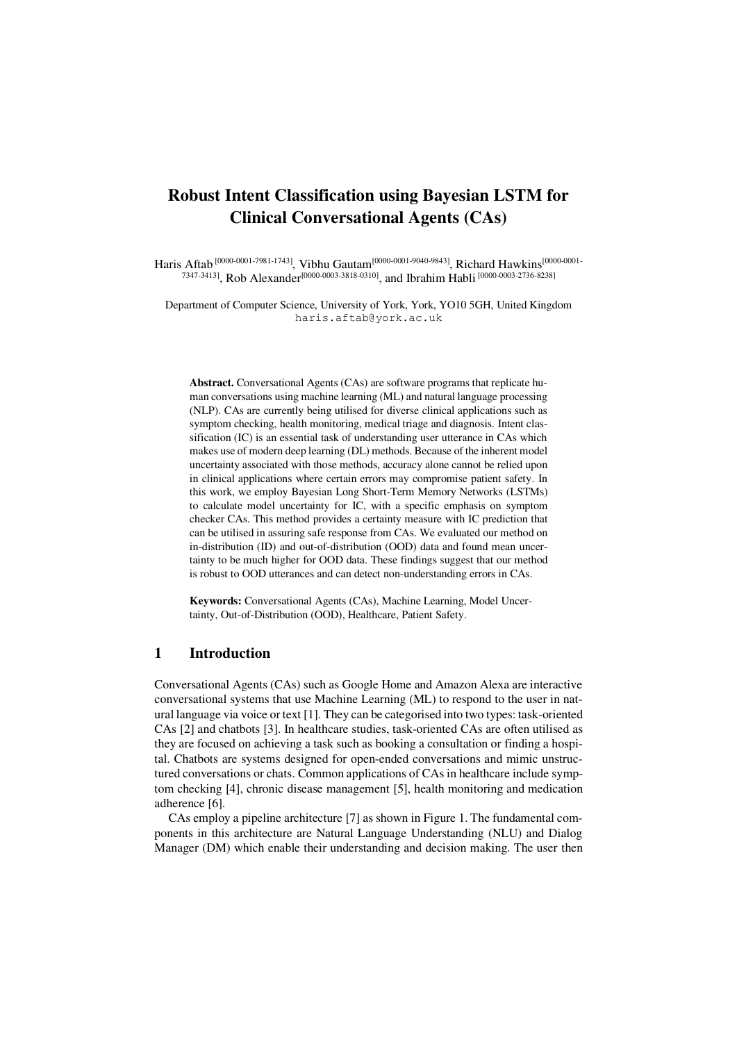# **Robust Intent Classification using Bayesian LSTM for Clinical Conversational Agents (CAs)**

Haris Aftab<sup> [\[0000-0001-](https://orcid.org/0000-0001-7347-3413)7981-1743]</sup>, Vibhu Gautam<sup>[0000-0001-9040-9843]</sup>, Richard Hawkins<sup>[0000-0001-</sup>  $^{7347\cdot3413]}$ , Rob Alexander<sup>[\[0000-0003-3818-0310\]](https://orcid.org/0000-0003-3818-0310)</sup>, and Ibrahim Habli<sup>[0000-0003-2736-8238]</sup>

Department of Computer Science, University of York, York, YO10 5GH, United Kingdom haris.aftab@york.ac.uk

**Abstract.** Conversational Agents (CAs) are software programs that replicate human conversations using machine learning (ML) and natural language processing (NLP). CAs are currently being utilised for diverse clinical applications such as symptom checking, health monitoring, medical triage and diagnosis. Intent classification (IC) is an essential task of understanding user utterance in CAs which makes use of modern deep learning (DL) methods. Because of the inherent model uncertainty associated with those methods, accuracy alone cannot be relied upon in clinical applications where certain errors may compromise patient safety. In this work, we employ Bayesian Long Short-Term Memory Networks (LSTMs) to calculate model uncertainty for IC, with a specific emphasis on symptom checker CAs. This method provides a certainty measure with IC prediction that can be utilised in assuring safe response from CAs. We evaluated our method on in-distribution (ID) and out-of-distribution (OOD) data and found mean uncertainty to be much higher for OOD data. These findings suggest that our method is robust to OOD utterances and can detect non-understanding errors in CAs.

**Keywords:** Conversational Agents (CAs), Machine Learning, Model Uncertainty, Out-of-Distribution (OOD), Healthcare, Patient Safety.

# **1 Introduction**

Conversational Agents (CAs) such as Google Home and Amazon Alexa are interactive conversational systems that use Machine Learning (ML) to respond to the user in natural language via voice or text [1]. They can be categorised into two types: task-oriented CAs [2] and chatbots [3]. In healthcare studies, task-oriented CAs are often utilised as they are focused on achieving a task such as booking a consultation or finding a hospital. Chatbots are systems designed for open-ended conversations and mimic unstructured conversations or chats. Common applications of CAs in healthcare include symptom checking [4], chronic disease management [5], health monitoring and medication adherence [6].

CAs employ a pipeline architecture [7] as shown in [Figure 1.](#page-2-0) The fundamental components in this architecture are Natural Language Understanding (NLU) and Dialog Manager (DM) which enable their understanding and decision making. The user then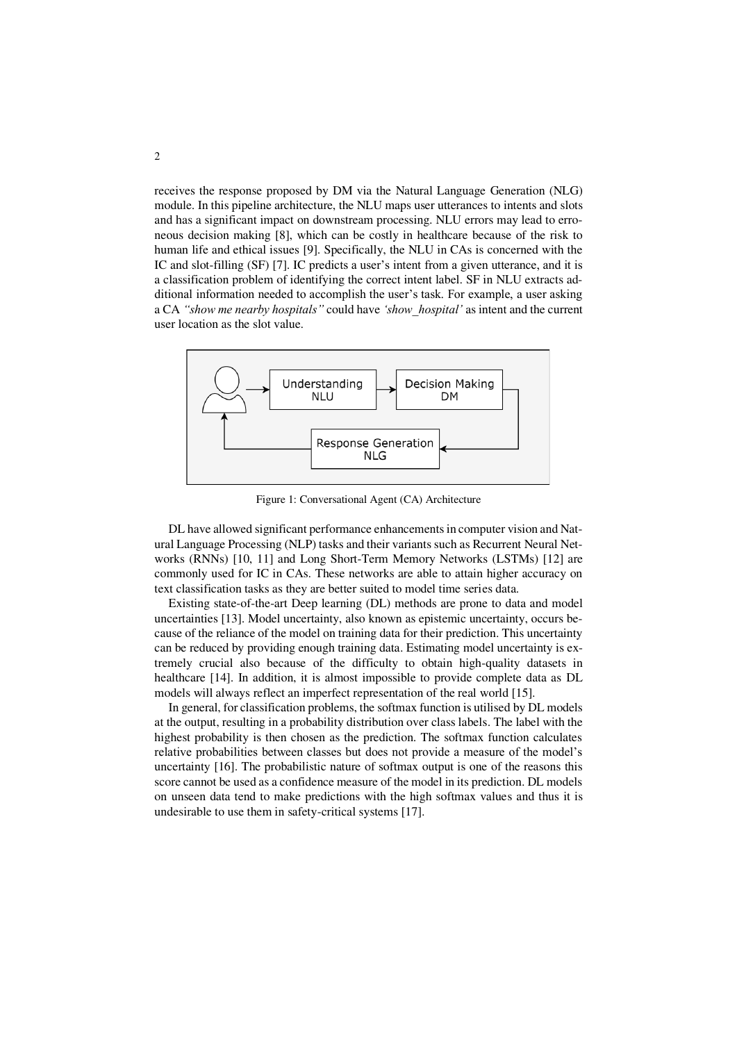receives the response proposed by DM via the Natural Language Generation (NLG) module. In this pipeline architecture, the NLU maps user utterances to intents and slots and has a significant impact on downstream processing. NLU errors may lead to erroneous decision making [8], which can be costly in healthcare because of the risk to human life and ethical issues [9]. Specifically, the NLU in CAs is concerned with the IC and slot-filling (SF) [7]. IC predicts a user's intent from a given utterance, and it is a classification problem of identifying the correct intent label. SF in NLU extracts additional information needed to accomplish the user's task. For example, a user asking a CA *"show me nearby hospitals"* could have *'show\_hospital'* as intent and the current user location as the slot value.



Figure 1: Conversational Agent (CA) Architecture

<span id="page-2-0"></span>DL have allowed significant performance enhancements in computer vision and Natural Language Processing (NLP) tasks and their variants such as Recurrent Neural Networks (RNNs) [10, 11] and Long Short-Term Memory Networks (LSTMs) [12] are commonly used for IC in CAs. These networks are able to attain higher accuracy on text classification tasks as they are better suited to model time series data.

Existing state-of-the-art Deep learning (DL) methods are prone to data and model uncertainties [13]. Model uncertainty, also known as epistemic uncertainty, occurs because of the reliance of the model on training data for their prediction. This uncertainty can be reduced by providing enough training data. Estimating model uncertainty is extremely crucial also because of the difficulty to obtain high-quality datasets in healthcare [14]. In addition, it is almost impossible to provide complete data as DL models will always reflect an imperfect representation of the real world [15].

In general, for classification problems, the softmax function is utilised by DL models at the output, resulting in a probability distribution over class labels. The label with the highest probability is then chosen as the prediction. The softmax function calculates relative probabilities between classes but does not provide a measure of the model's uncertainty [16]. The probabilistic nature of softmax output is one of the reasons this score cannot be used as a confidence measure of the model in its prediction. DL models on unseen data tend to make predictions with the high softmax values and thus it is undesirable to use them in safety-critical systems [17].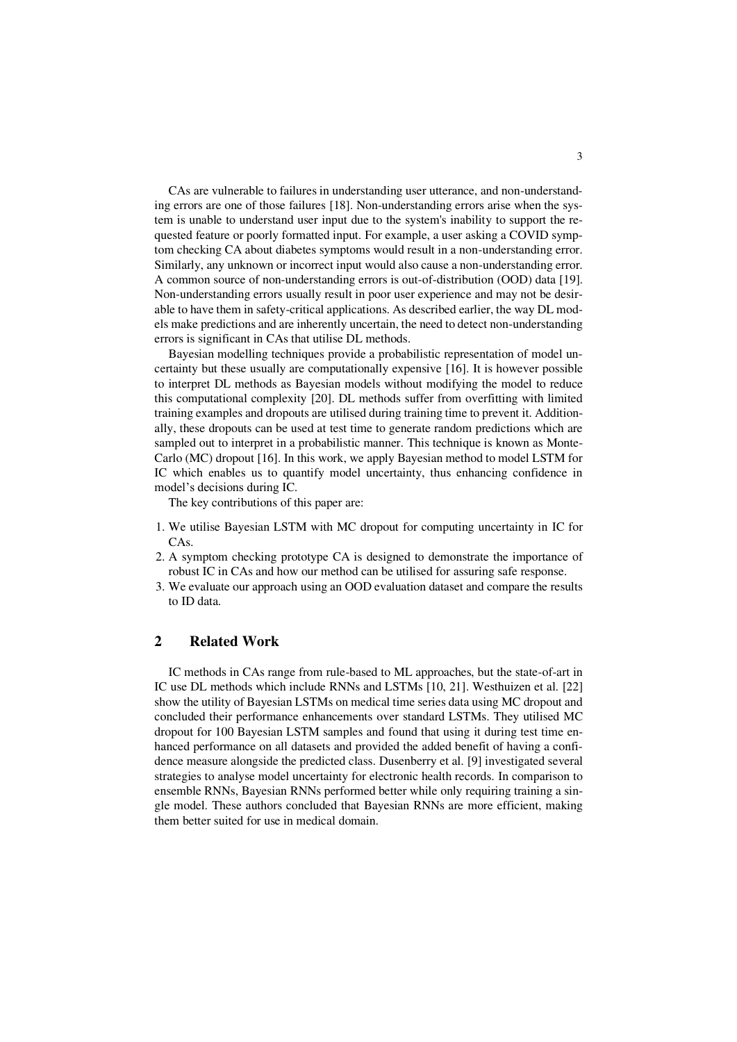CAs are vulnerable to failures in understanding user utterance, and non-understanding errors are one of those failures [18]. Non-understanding errors arise when the system is unable to understand user input due to the system's inability to support the requested feature or poorly formatted input. For example, a user asking a COVID symptom checking CA about diabetes symptoms would result in a non-understanding error. Similarly, any unknown or incorrect input would also cause a non-understanding error. A common source of non-understanding errors is out-of-distribution (OOD) data [19]. Non-understanding errors usually result in poor user experience and may not be desirable to have them in safety-critical applications. As described earlier, the way DL models make predictions and are inherently uncertain, the need to detect non-understanding errors is significant in CAs that utilise DL methods.

Bayesian modelling techniques provide a probabilistic representation of model uncertainty but these usually are computationally expensive [16]. It is however possible to interpret DL methods as Bayesian models without modifying the model to reduce this computational complexity [20]. DL methods suffer from overfitting with limited training examples and dropouts are utilised during training time to prevent it. Additionally, these dropouts can be used at test time to generate random predictions which are sampled out to interpret in a probabilistic manner. This technique is known as Monte-Carlo (MC) dropout [16]. In this work, we apply Bayesian method to model LSTM for IC which enables us to quantify model uncertainty, thus enhancing confidence in model's decisions during IC.

The key contributions of this paper are:

- 1. We utilise Bayesian LSTM with MC dropout for computing uncertainty in IC for CAs.
- 2. A symptom checking prototype CA is designed to demonstrate the importance of robust IC in CAs and how our method can be utilised for assuring safe response.
- 3. We evaluate our approach using an OOD evaluation dataset and compare the results to ID data.

# **2 Related Work**

IC methods in CAs range from rule-based to ML approaches, but the state-of-art in IC use DL methods which include RNNs and LSTMs [10, 21]. Westhuizen et al. [22] show the utility of Bayesian LSTMs on medical time series data using MC dropout and concluded their performance enhancements over standard LSTMs. They utilised MC dropout for 100 Bayesian LSTM samples and found that using it during test time enhanced performance on all datasets and provided the added benefit of having a confidence measure alongside the predicted class. Dusenberry et al. [9] investigated several strategies to analyse model uncertainty for electronic health records. In comparison to ensemble RNNs, Bayesian RNNs performed better while only requiring training a single model. These authors concluded that Bayesian RNNs are more efficient, making them better suited for use in medical domain.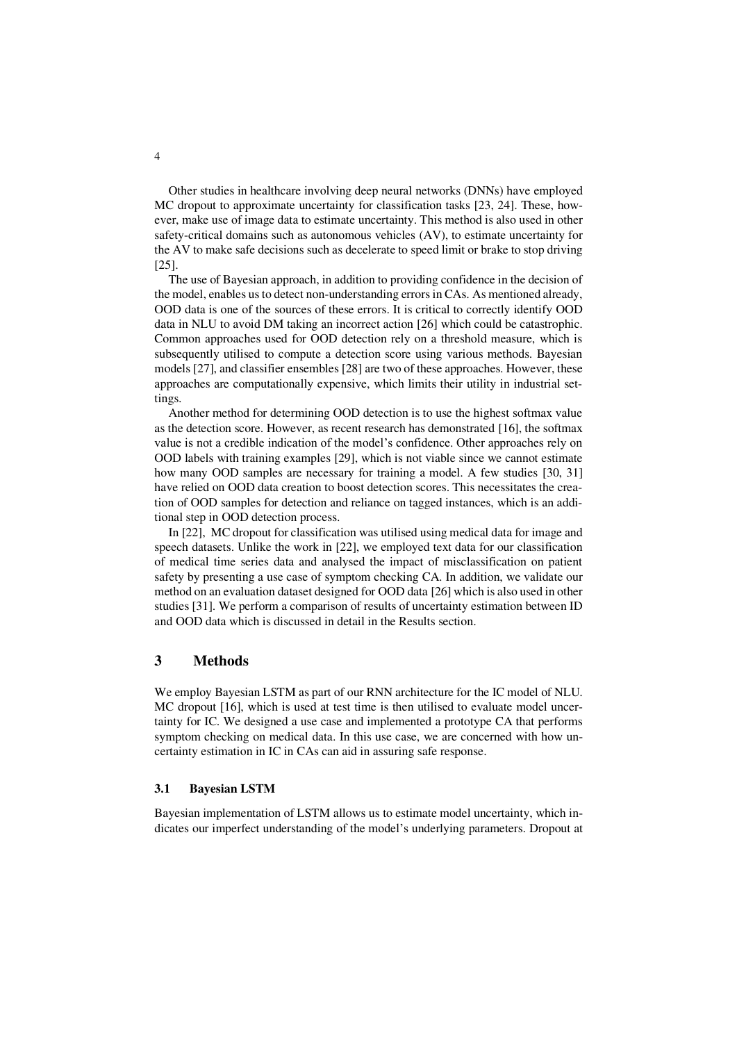Other studies in healthcare involving deep neural networks (DNNs) have employed MC dropout to approximate uncertainty for classification tasks [23, 24]. These, however, make use of image data to estimate uncertainty. This method is also used in other safety-critical domains such as autonomous vehicles (AV), to estimate uncertainty for the AV to make safe decisions such as decelerate to speed limit or brake to stop driving [25].

The use of Bayesian approach, in addition to providing confidence in the decision of the model, enables us to detect non-understanding errors in CAs. As mentioned already, OOD data is one of the sources of these errors. It is critical to correctly identify OOD data in NLU to avoid DM taking an incorrect action [26] which could be catastrophic. Common approaches used for OOD detection rely on a threshold measure, which is subsequently utilised to compute a detection score using various methods. Bayesian models [27], and classifier ensembles [28] are two of these approaches. However, these approaches are computationally expensive, which limits their utility in industrial settings.

Another method for determining OOD detection is to use the highest softmax value as the detection score. However, as recent research has demonstrated [16], the softmax value is not a credible indication of the model's confidence. Other approaches rely on OOD labels with training examples [29], which is not viable since we cannot estimate how many OOD samples are necessary for training a model. A few studies [30, 31] have relied on OOD data creation to boost detection scores. This necessitates the creation of OOD samples for detection and reliance on tagged instances, which is an additional step in OOD detection process.

In [22], MC dropout for classification was utilised using medical data for image and speech datasets. Unlike the work in [22], we employed text data for our classification of medical time series data and analysed the impact of misclassification on patient safety by presenting a use case of symptom checking CA. In addition, we validate our method on an evaluation dataset designed for OOD data [26] which is also used in other studies [31]. We perform a comparison of results of uncertainty estimation between ID and OOD data which is discussed in detail in the Results section.

# **3 Methods**

We employ Bayesian LSTM as part of our RNN architecture for the IC model of NLU. MC dropout [16], which is used at test time is then utilised to evaluate model uncertainty for IC. We designed a use case and implemented a prototype CA that performs symptom checking on medical data. In this use case, we are concerned with how uncertainty estimation in IC in CAs can aid in assuring safe response.

#### **3.1 Bayesian LSTM**

Bayesian implementation of LSTM allows us to estimate model uncertainty, which indicates our imperfect understanding of the model's underlying parameters. Dropout at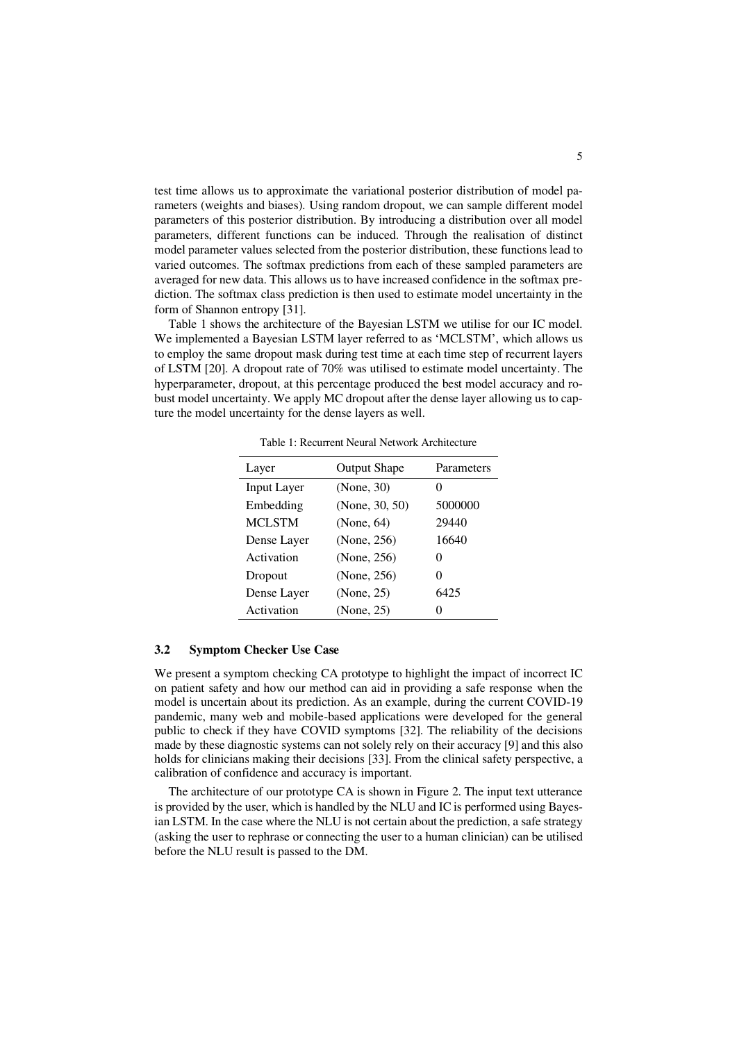test time allows us to approximate the variational posterior distribution of model parameters (weights and biases). Using random dropout, we can sample different model parameters of this posterior distribution. By introducing a distribution over all model parameters, different functions can be induced. Through the realisation of distinct model parameter values selected from the posterior distribution, these functions lead to varied outcomes. The softmax predictions from each of these sampled parameters are averaged for new data. This allows us to have increased confidence in the softmax prediction. The softmax class prediction is then used to estimate model uncertainty in the form of Shannon entropy [31].

[Table 1](#page-5-0) shows the architecture of the Bayesian LSTM we utilise for our IC model. We implemented a Bayesian LSTM layer referred to as 'MCLSTM', which allows us to employ the same dropout mask during test time at each time step of recurrent layers of LSTM [20]. A dropout rate of 70% was utilised to estimate model uncertainty. The hyperparameter, dropout, at this percentage produced the best model accuracy and robust model uncertainty. We apply MC dropout after the dense layer allowing us to capture the model uncertainty for the dense layers as well.

<span id="page-5-0"></span>

| Layer         | <b>Output Shape</b> | Parameters        |
|---------------|---------------------|-------------------|
| Input Layer   | (None, 30)          | 0                 |
| Embedding     | (None, $30, 50$ )   | 5000000           |
| <b>MCLSTM</b> | (None, 64)          | 29440             |
| Dense Layer   | (None, 256)         | 16640             |
| Activation    | (None, 256)         | $\theta$          |
| Dropout       | (None, 256)         | $\mathbf{\Omega}$ |
| Dense Layer   | (None, 25)          | 6425              |
| Activation    | (None, 25)          | 0                 |

Table 1: Recurrent Neural Network Architecture

#### **3.2 Symptom Checker Use Case**

We present a symptom checking CA prototype to highlight the impact of incorrect IC on patient safety and how our method can aid in providing a safe response when the model is uncertain about its prediction. As an example, during the current COVID-19 pandemic, many web and mobile-based applications were developed for the general public to check if they have COVID symptoms [32]. The reliability of the decisions made by these diagnostic systems can not solely rely on their accuracy [9] and this also holds for clinicians making their decisions [33]. From the clinical safety perspective, a calibration of confidence and accuracy is important.

The architecture of our prototype CA is shown i[n Figure 2.](#page-6-0) The input text utterance is provided by the user, which is handled by the NLU and IC is performed using Bayesian LSTM. In the case where the NLU is not certain about the prediction, a safe strategy (asking the user to rephrase or connecting the user to a human clinician) can be utilised before the NLU result is passed to the DM.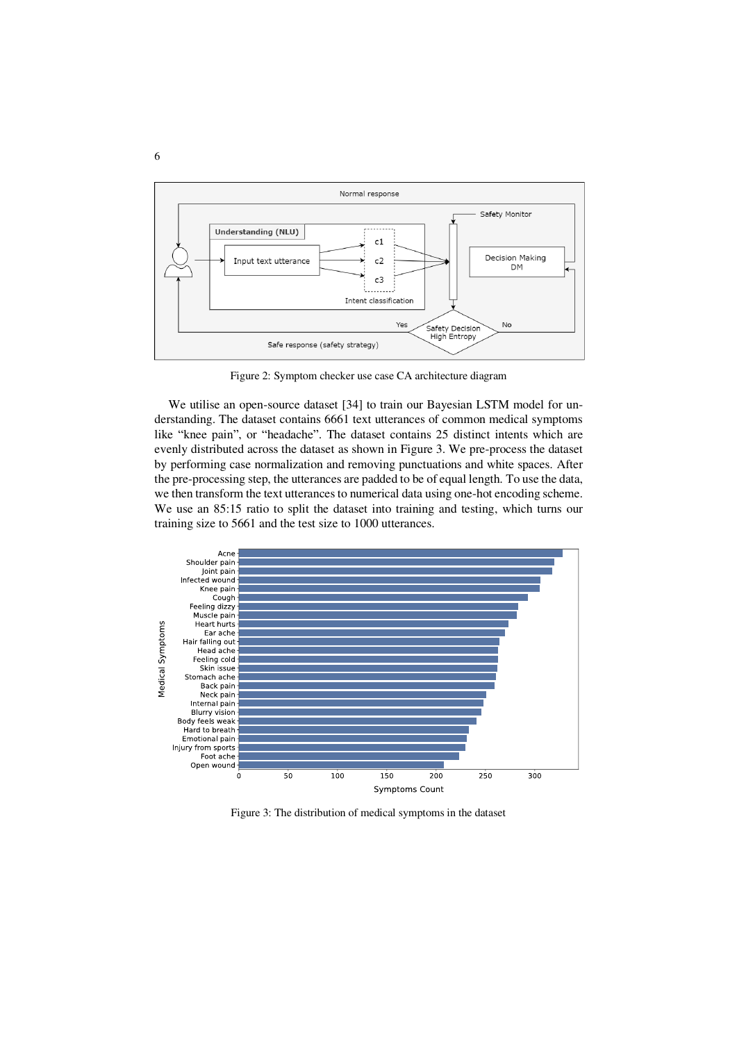

Figure 2: Symptom checker use case CA architecture diagram

<span id="page-6-0"></span>We utilise an open-source dataset [34] to train our Bayesian LSTM model for understanding. The dataset contains 6661 text utterances of common medical symptoms like "knee pain", or "headache". The dataset contains 25 distinct intents which are evenly distributed across the dataset as shown in [Figure 3.](#page-6-1) We pre-process the dataset by performing case normalization and removing punctuations and white spaces. After the pre-processing step, the utterances are padded to be of equal length. To use the data, we then transform the text utterances to numerical data using one-hot encoding scheme. We use an 85:15 ratio to split the dataset into training and testing, which turns our training size to 5661 and the test size to 1000 utterances.



<span id="page-6-1"></span>Figure 3: The distribution of medical symptoms in the dataset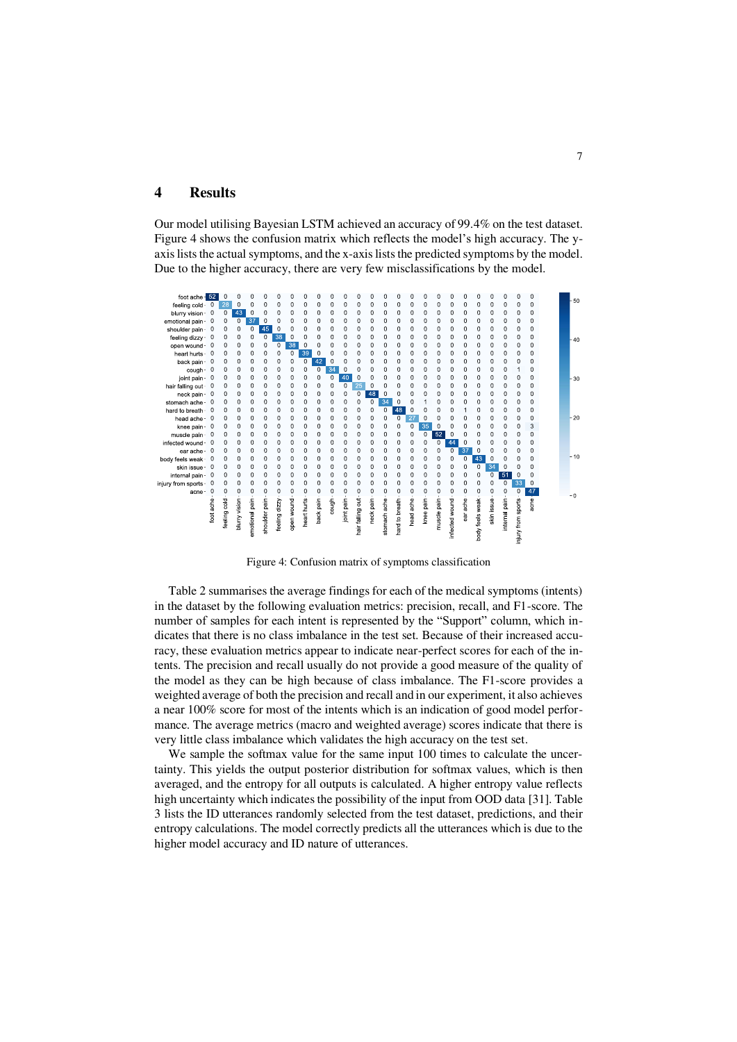# **4 Results**

Our model utilising Bayesian LSTM achieved an accuracy of 99.4% on the test dataset. [Figure 4](#page-7-0) shows the confusion matrix which reflects the model's high accuracy. The yaxis lists the actual symptoms, and the x-axis lists the predicted symptoms by the model. Due to the higher accuracy, there are very few misclassifications by the model.



Figure 4: Confusion matrix of symptoms classification

<span id="page-7-0"></span>[Table 2](#page-8-0) summarises the average findings for each of the medical symptoms (intents) in the dataset by the following evaluation metrics: precision, recall, and F1-score. The number of samples for each intent is represented by the "Support" column, which indicates that there is no class imbalance in the test set. Because of their increased accuracy, these evaluation metrics appear to indicate near-perfect scores for each of the intents. The precision and recall usually do not provide a good measure of the quality of the model as they can be high because of class imbalance. The F1-score provides a weighted average of both the precision and recall and in our experiment, it also achieves a near 100% score for most of the intents which is an indication of good model performance. The average metrics (macro and weighted average) scores indicate that there is very little class imbalance which validates the high accuracy on the test set.

 We sample the softmax value for the same input 100 times to calculate the uncertainty. This yields the output posterior distribution for softmax values, which is then averaged, and the entropy for all outputs is calculated. A higher entropy value reflects high uncertainty which indicates the possibility of the input from OOD data [31]. [Table](#page-8-1)  [3](#page-8-1) lists the ID utterances randomly selected from the test dataset, predictions, and their entropy calculations. The model correctly predicts all the utterances which is due to the higher model accuracy and ID nature of utterances.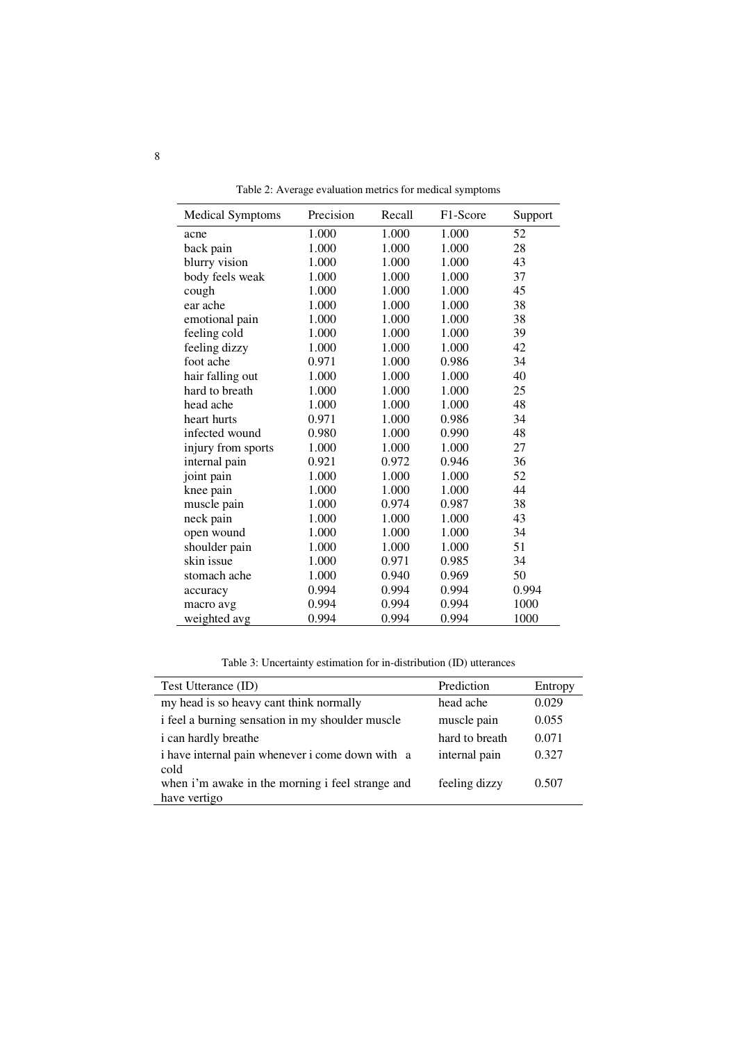<span id="page-8-0"></span>

| <b>Medical Symptoms</b> | Precision | Recall | F <sub>1</sub> -Score | Support |
|-------------------------|-----------|--------|-----------------------|---------|
| acne                    | 1.000     | 1.000  | 1.000                 | 52      |
| back pain               | 1.000     | 1.000  | 1.000                 | 28      |
| blurry vision           | 1.000     | 1.000  | 1.000                 | 43      |
| body feels weak         | 1.000     | 1.000  | 1.000                 | 37      |
| cough                   | 1.000     | 1.000  | 1.000                 | 45      |
| ear ache                | 1.000     | 1.000  | 1.000                 | 38      |
| emotional pain          | 1.000     | 1.000  | 1.000                 | 38      |
| feeling cold            | 1.000     | 1.000  | 1.000                 | 39      |
| feeling dizzy           | 1.000     | 1.000  | 1.000                 | 42      |
| foot ache               | 0.971     | 1.000  | 0.986                 | 34      |
| hair falling out        | 1.000     | 1.000  | 1.000                 | 40      |
| hard to breath          | 1.000     | 1.000  | 1.000                 | 25      |
| head ache               | 1.000     | 1.000  | 1.000                 | 48      |
| heart hurts             | 0.971     | 1.000  | 0.986                 | 34      |
| infected wound          | 0.980     | 1.000  | 0.990                 | 48      |
| injury from sports      | 1.000     | 1.000  | 1.000                 | 27      |
| internal pain           | 0.921     | 0.972  | 0.946                 | 36      |
| joint pain              | 1.000     | 1.000  | 1.000                 | 52      |
| knee pain               | 1.000     | 1.000  | 1.000                 | 44      |
| muscle pain             | 1.000     | 0.974  | 0.987                 | 38      |
| neck pain               | 1.000     | 1.000  | 1.000                 | 43      |
| open wound              | 1.000     | 1.000  | 1.000                 | 34      |
| shoulder pain           | 1.000     | 1.000  | 1.000                 | 51      |
| skin issue              | 1.000     | 0.971  | 0.985                 | 34      |
| stomach ache            | 1.000     | 0.940  | 0.969                 | 50      |
| accuracy                | 0.994     | 0.994  | 0.994                 | 0.994   |
| macro avg               | 0.994     | 0.994  | 0.994                 | 1000    |
| weighted avg            | 0.994     | 0.994  | 0.994                 | 1000    |

Table 2: Average evaluation metrics for medical symptoms

Table 3: Uncertainty estimation for in-distribution (ID) utterances

<span id="page-8-1"></span>

| Test Utterance (ID)                                              | Prediction     | Entropy |
|------------------------------------------------------------------|----------------|---------|
| my head is so heavy cant think normally                          | head ache      | 0.029   |
| i feel a burning sensation in my shoulder muscle                 | muscle pain    | 0.055   |
| <i>i</i> can hardly breathe                                      | hard to breath | 0.071   |
| i have internal pain whenever i come down with a<br>cold         | internal pain  | 0.327   |
| when i'm awake in the morning i feel strange and<br>have vertigo | feeling dizzy  | 0.507   |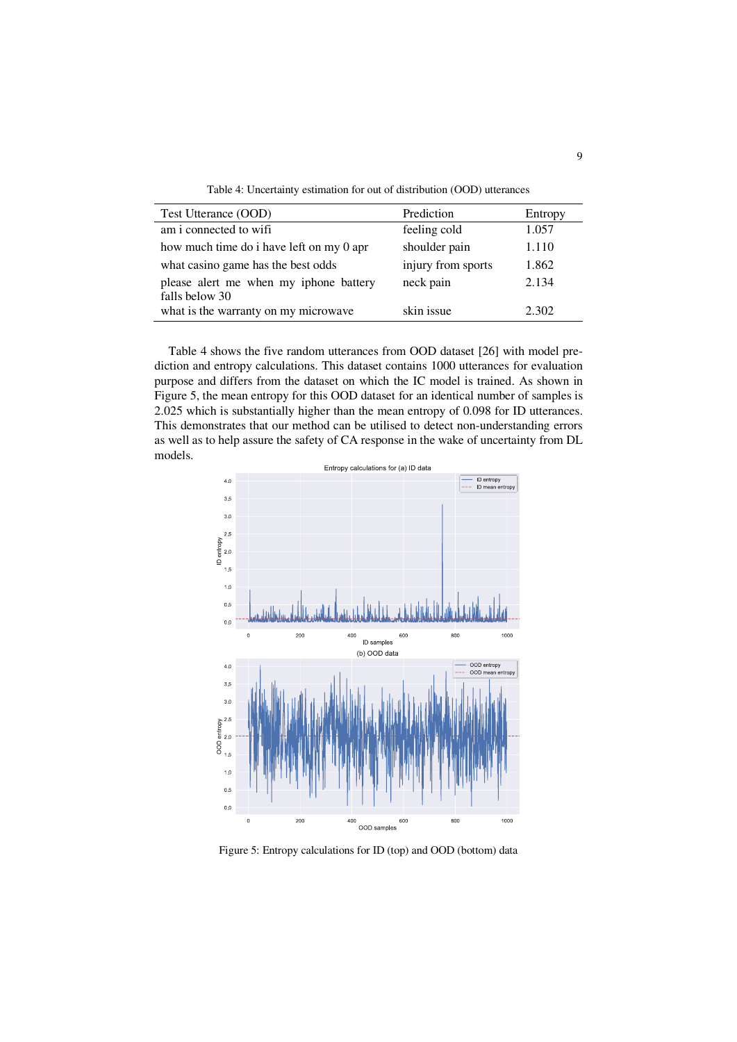Table 4: Uncertainty estimation for out of distribution (OOD) utterances

<span id="page-9-0"></span>

| Test Utterance (OOD)                                     | Prediction         | Entropy |
|----------------------------------------------------------|--------------------|---------|
| am i connected to wifi                                   | feeling cold       | 1.057   |
| how much time do i have left on my 0 apr                 | shoulder pain      | 1.110   |
| what casino game has the best odds                       | injury from sports | 1.862   |
| please alert me when my iphone battery<br>falls below 30 | neck pain          | 2.134   |
| what is the warranty on my microwave                     | skin issue         | 2.302   |

[Table 4](#page-9-0) shows the five random utterances from OOD dataset [26] with model prediction and entropy calculations. This dataset contains 1000 utterances for evaluation purpose and differs from the dataset on which the IC model is trained. As shown in [Figure 5,](#page-9-1) the mean entropy for this OOD dataset for an identical number of samples is 2.025 which is substantially higher than the mean entropy of 0.098 for ID utterances. This demonstrates that our method can be utilised to detect non-understanding errors as well as to help assure the safety of CA response in the wake of uncertainty from DL models.



<span id="page-9-1"></span>Figure 5: Entropy calculations for ID (top) and OOD (bottom) data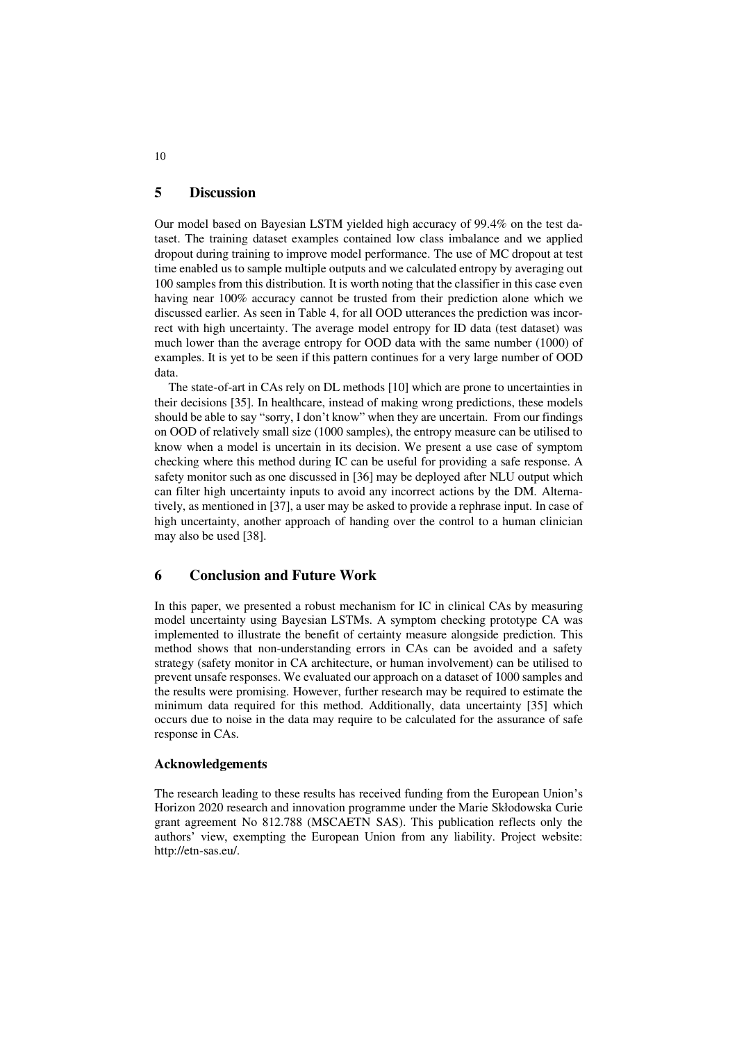# **5 Discussion**

Our model based on Bayesian LSTM yielded high accuracy of 99.4% on the test dataset. The training dataset examples contained low class imbalance and we applied dropout during training to improve model performance. The use of MC dropout at test time enabled us to sample multiple outputs and we calculated entropy by averaging out 100 samples from this distribution. It is worth noting that the classifier in this case even having near 100% accuracy cannot be trusted from their prediction alone which we discussed earlier. As seen in [Table 4,](#page-9-0) for all OOD utterances the prediction was incorrect with high uncertainty. The average model entropy for ID data (test dataset) was much lower than the average entropy for OOD data with the same number (1000) of examples. It is yet to be seen if this pattern continues for a very large number of OOD data.

 The state-of-art in CAs rely on DL methods [10] which are prone to uncertainties in their decisions [35]. In healthcare, instead of making wrong predictions, these models should be able to say "sorry, I don't know" when they are uncertain. From our findings on OOD of relatively small size (1000 samples), the entropy measure can be utilised to know when a model is uncertain in its decision. We present a use case of symptom checking where this method during IC can be useful for providing a safe response. A safety monitor such as one discussed in [36] may be deployed after NLU output which can filter high uncertainty inputs to avoid any incorrect actions by the DM. Alternatively, as mentioned in [37], a user may be asked to provide a rephrase input. In case of high uncertainty, another approach of handing over the control to a human clinician may also be used [38].

## **6 Conclusion and Future Work**

In this paper, we presented a robust mechanism for IC in clinical CAs by measuring model uncertainty using Bayesian LSTMs. A symptom checking prototype CA was implemented to illustrate the benefit of certainty measure alongside prediction. This method shows that non-understanding errors in CAs can be avoided and a safety strategy (safety monitor in CA architecture, or human involvement) can be utilised to prevent unsafe responses. We evaluated our approach on a dataset of 1000 samples and the results were promising. However, further research may be required to estimate the minimum data required for this method. Additionally, data uncertainty [35] which occurs due to noise in the data may require to be calculated for the assurance of safe response in CAs.

#### **Acknowledgements**

The research leading to these results has received funding from the European Union's Horizon 2020 research and innovation programme under the Marie Skłodowska Curie grant agreement No 812.788 (MSCAETN SAS). This publication reflects only the authors' view, exempting the European Union from any liability. Project website: http://etn-sas.eu/.

10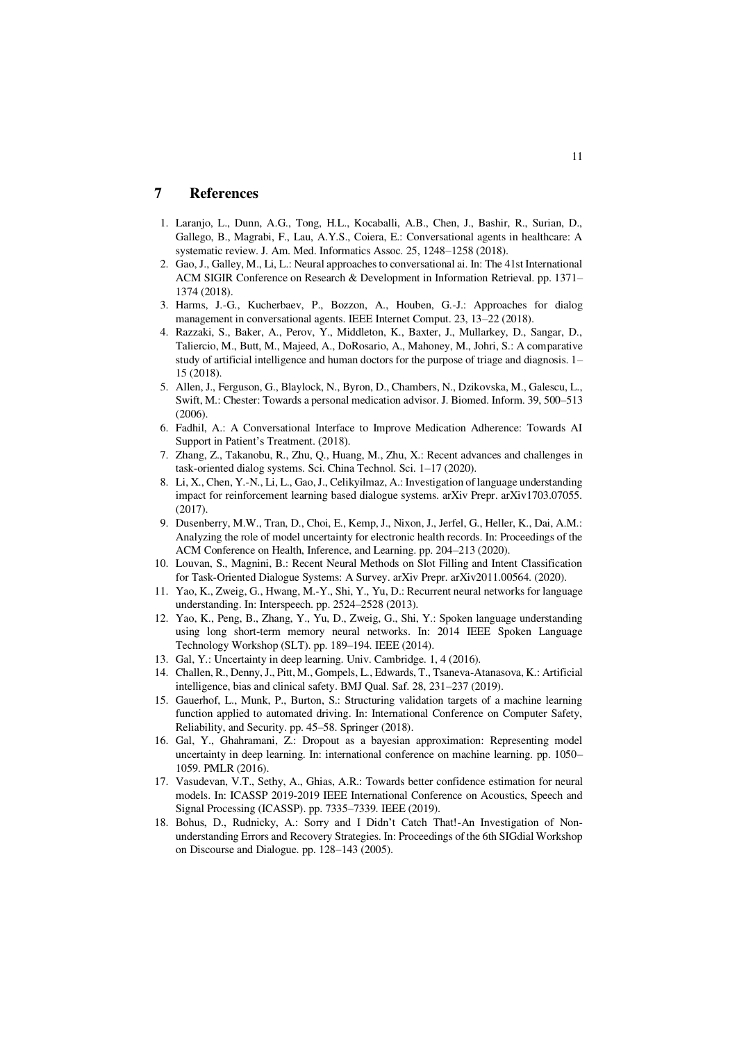# **7 References**

- 1. Laranjo, L., Dunn, A.G., Tong, H.L., Kocaballi, A.B., Chen, J., Bashir, R., Surian, D., Gallego, B., Magrabi, F., Lau, A.Y.S., Coiera, E.: Conversational agents in healthcare: A systematic review. J. Am. Med. Informatics Assoc. 25, 1248–1258 (2018).
- 2. Gao, J., Galley, M., Li, L.: Neural approaches to conversational ai. In: The 41st International ACM SIGIR Conference on Research & Development in Information Retrieval. pp. 1371– 1374 (2018).
- 3. Harms, J.-G., Kucherbaev, P., Bozzon, A., Houben, G.-J.: Approaches for dialog management in conversational agents. IEEE Internet Comput. 23, 13–22 (2018).
- 4. Razzaki, S., Baker, A., Perov, Y., Middleton, K., Baxter, J., Mullarkey, D., Sangar, D., Taliercio, M., Butt, M., Majeed, A., DoRosario, A., Mahoney, M., Johri, S.: A comparative study of artificial intelligence and human doctors for the purpose of triage and diagnosis. 1– 15 (2018).
- 5. Allen, J., Ferguson, G., Blaylock, N., Byron, D., Chambers, N., Dzikovska, M., Galescu, L., Swift, M.: Chester: Towards a personal medication advisor. J. Biomed. Inform. 39, 500–513 (2006).
- 6. Fadhil, A.: A Conversational Interface to Improve Medication Adherence: Towards AI Support in Patient's Treatment. (2018).
- 7. Zhang, Z., Takanobu, R., Zhu, Q., Huang, M., Zhu, X.: Recent advances and challenges in task-oriented dialog systems. Sci. China Technol. Sci. 1–17 (2020).
- 8. Li, X., Chen, Y.-N., Li, L., Gao, J., Celikyilmaz, A.: Investigation of language understanding impact for reinforcement learning based dialogue systems. arXiv Prepr. arXiv1703.07055. (2017).
- 9. Dusenberry, M.W., Tran, D., Choi, E., Kemp, J., Nixon, J., Jerfel, G., Heller, K., Dai, A.M.: Analyzing the role of model uncertainty for electronic health records. In: Proceedings of the ACM Conference on Health, Inference, and Learning. pp. 204–213 (2020).
- 10. Louvan, S., Magnini, B.: Recent Neural Methods on Slot Filling and Intent Classification for Task-Oriented Dialogue Systems: A Survey. arXiv Prepr. arXiv2011.00564. (2020).
- 11. Yao, K., Zweig, G., Hwang, M.-Y., Shi, Y., Yu, D.: Recurrent neural networks for language understanding. In: Interspeech. pp. 2524–2528 (2013).
- 12. Yao, K., Peng, B., Zhang, Y., Yu, D., Zweig, G., Shi, Y.: Spoken language understanding using long short-term memory neural networks. In: 2014 IEEE Spoken Language Technology Workshop (SLT). pp. 189–194. IEEE (2014).
- 13. Gal, Y.: Uncertainty in deep learning. Univ. Cambridge. 1, 4 (2016).
- 14. Challen, R., Denny, J., Pitt, M., Gompels, L., Edwards, T., Tsaneva-Atanasova, K.: Artificial intelligence, bias and clinical safety. BMJ Qual. Saf. 28, 231–237 (2019).
- 15. Gauerhof, L., Munk, P., Burton, S.: Structuring validation targets of a machine learning function applied to automated driving. In: International Conference on Computer Safety, Reliability, and Security. pp. 45–58. Springer (2018).
- 16. Gal, Y., Ghahramani, Z.: Dropout as a bayesian approximation: Representing model uncertainty in deep learning. In: international conference on machine learning. pp. 1050– 1059. PMLR (2016).
- 17. Vasudevan, V.T., Sethy, A., Ghias, A.R.: Towards better confidence estimation for neural models. In: ICASSP 2019-2019 IEEE International Conference on Acoustics, Speech and Signal Processing (ICASSP). pp. 7335–7339. IEEE (2019).
- 18. Bohus, D., Rudnicky, A.: Sorry and I Didn't Catch That!-An Investigation of Nonunderstanding Errors and Recovery Strategies. In: Proceedings of the 6th SIGdial Workshop on Discourse and Dialogue. pp. 128–143 (2005).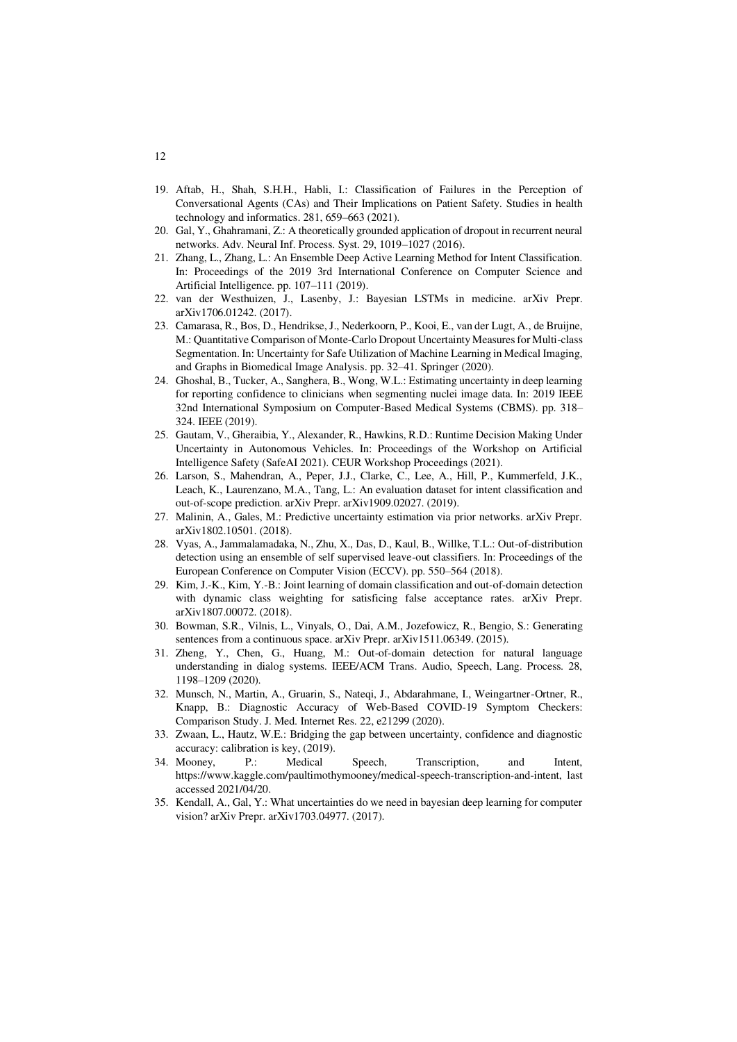- 19. Aftab, H., Shah, S.H.H., Habli, I.: Classification of Failures in the Perception of Conversational Agents (CAs) and Their Implications on Patient Safety. Studies in health technology and informatics. 281, 659–663 (2021).
- 20. Gal, Y., Ghahramani, Z.: A theoretically grounded application of dropout in recurrent neural networks. Adv. Neural Inf. Process. Syst. 29, 1019–1027 (2016).
- 21. Zhang, L., Zhang, L.: An Ensemble Deep Active Learning Method for Intent Classification. In: Proceedings of the 2019 3rd International Conference on Computer Science and Artificial Intelligence. pp. 107–111 (2019).
- 22. van der Westhuizen, J., Lasenby, J.: Bayesian LSTMs in medicine. arXiv Prepr. arXiv1706.01242. (2017).
- 23. Camarasa, R., Bos, D., Hendrikse, J., Nederkoorn, P., Kooi, E., van der Lugt, A., de Bruijne, M.: Quantitative Comparison of Monte-Carlo Dropout Uncertainty Measures for Multi-class Segmentation. In: Uncertainty for Safe Utilization of Machine Learning in Medical Imaging, and Graphs in Biomedical Image Analysis. pp. 32–41. Springer (2020).
- 24. Ghoshal, B., Tucker, A., Sanghera, B., Wong, W.L.: Estimating uncertainty in deep learning for reporting confidence to clinicians when segmenting nuclei image data. In: 2019 IEEE 32nd International Symposium on Computer-Based Medical Systems (CBMS). pp. 318– 324. IEEE (2019).
- 25. Gautam, V., Gheraibia, Y., Alexander, R., Hawkins, R.D.: Runtime Decision Making Under Uncertainty in Autonomous Vehicles. In: Proceedings of the Workshop on Artificial Intelligence Safety (SafeAI 2021). CEUR Workshop Proceedings (2021).
- 26. Larson, S., Mahendran, A., Peper, J.J., Clarke, C., Lee, A., Hill, P., Kummerfeld, J.K., Leach, K., Laurenzano, M.A., Tang, L.: An evaluation dataset for intent classification and out-of-scope prediction. arXiv Prepr. arXiv1909.02027. (2019).
- 27. Malinin, A., Gales, M.: Predictive uncertainty estimation via prior networks. arXiv Prepr. arXiv1802.10501. (2018).
- 28. Vyas, A., Jammalamadaka, N., Zhu, X., Das, D., Kaul, B., Willke, T.L.: Out-of-distribution detection using an ensemble of self supervised leave-out classifiers. In: Proceedings of the European Conference on Computer Vision (ECCV). pp. 550–564 (2018).
- 29. Kim, J.-K., Kim, Y.-B.: Joint learning of domain classification and out-of-domain detection with dynamic class weighting for satisficing false acceptance rates. arXiv Prepr. arXiv1807.00072. (2018).
- 30. Bowman, S.R., Vilnis, L., Vinyals, O., Dai, A.M., Jozefowicz, R., Bengio, S.: Generating sentences from a continuous space. arXiv Prepr. arXiv1511.06349. (2015).
- 31. Zheng, Y., Chen, G., Huang, M.: Out-of-domain detection for natural language understanding in dialog systems. IEEE/ACM Trans. Audio, Speech, Lang. Process. 28, 1198–1209 (2020).
- 32. Munsch, N., Martin, A., Gruarin, S., Nateqi, J., Abdarahmane, I., Weingartner-Ortner, R., Knapp, B.: Diagnostic Accuracy of Web-Based COVID-19 Symptom Checkers: Comparison Study. J. Med. Internet Res. 22, e21299 (2020).
- 33. Zwaan, L., Hautz, W.E.: Bridging the gap between uncertainty, confidence and diagnostic accuracy: calibration is key, (2019).
- 34. Mooney, P.: Medical Speech, Transcription, and Intent, https://www.kaggle.com/paultimothymooney/medical-speech-transcription-and-intent, last accessed 2021/04/20.
- 35. Kendall, A., Gal, Y.: What uncertainties do we need in bayesian deep learning for computer vision? arXiv Prepr. arXiv1703.04977. (2017).

12